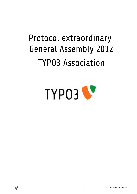# Protocol extraordinary General Assembly 2012 TYPO3 Association



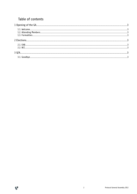# Table of contents

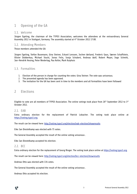# 1 Opening of the GA

#### 1.1. Welcome

Jürgen Egeling, the chairman of the TYPO3 Association, welcomes the attendees at the extraordinary General Assembly 2012 in Stuttgart, Germany. The assembly started at 4th October 2012 17:00.

## 1.2. Attending Members

Those members attended the GA:

Jürgen Egeling, Stefan Busemann, Gina Steiner, Eckard Lenssen, Jochen Weiland, Frederic Gaus, Søeren Schaffstein, Olivier Dobberkau, Michael Stucki, Jonas Felix, Sonja Schubert, Andreas Wolf, Robert Meyer, Ingo Schmitt, Jan-Hendrik Heuing, Peter Niederlag, Pau Keller, Mark Kuiphuis

### 1.3. Formalities

- 1. Election of the person in charge for counting the votes: Gina Steiner. The vote was unisonous.
- 2. The presented agenda has been approved.
- 3. The invitation for the GA has been sent in time to the members and all formalities have been followed

## 2 Elections

Eligible to vote are all members of TYPO3 Association. The online votings took place from 26<sup>th</sup> September 2012 to 3<sup>rd</sup> October 2012.

#### 2.1. EAB

Extra ordinary election for the replacement of Patrick Lobacher. The voting took place online at https://voting.typo3.org.

The result can be viewed here: http://voting.typo3.org/election/eab-election/showresults

Eike Jan Diestelkamp was elected with 75 votes.

The General Assembly accepted the result of the online voting unisonous .

Eike Jan Diestelkamp accepted his election.

#### 2.2. BCC

Extra ordinary election for the replacement of Georg Ringer. The voting took place online at https://voting.typo3.org.

The result can be viewed here: http://voting.typo3.org/election/bcc-election/showresults

Andreas Otto was elected with 134 votes.

The General Assembly accepted the result of the online voting unisonous .

Andreas Otto accepted his election.